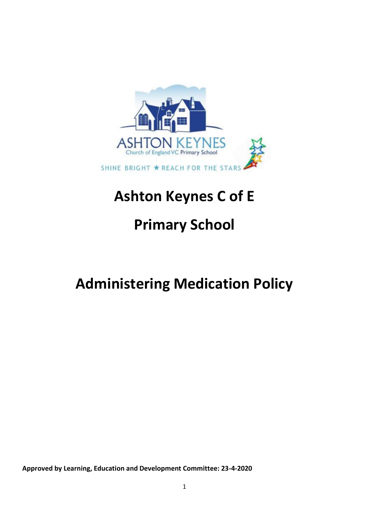

# **Ashton Keynes C of E**

# **Primary School**

# **Administering Medication Policy**

**Approved by Learning, Education and Development Committee: 23-4-2020**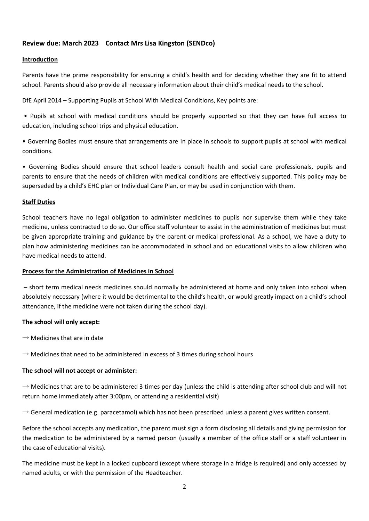# **Review due: March 2023 Contact Mrs Lisa Kingston (SENDco)**

#### **Introduction**

Parents have the prime responsibility for ensuring a child's health and for deciding whether they are fit to attend school. Parents should also provide all necessary information about their child's medical needs to the school.

DfE April 2014 – Supporting Pupils at School With Medical Conditions, Key points are:

• Pupils at school with medical conditions should be properly supported so that they can have full access to education, including school trips and physical education.

• Governing Bodies must ensure that arrangements are in place in schools to support pupils at school with medical conditions.

• Governing Bodies should ensure that school leaders consult health and social care professionals, pupils and parents to ensure that the needs of children with medical conditions are effectively supported. This policy may be superseded by a child's EHC plan or Individual Care Plan, or may be used in conjunction with them.

#### **Staff Duties**

School teachers have no legal obligation to administer medicines to pupils nor supervise them while they take medicine, unless contracted to do so. Our office staff volunteer to assist in the administration of medicines but must be given appropriate training and guidance by the parent or medical professional. As a school, we have a duty to plan how administering medicines can be accommodated in school and on educational visits to allow children who have medical needs to attend.

#### **Process for the Administration of Medicines in School**

– short term medical needs medicines should normally be administered at home and only taken into school when absolutely necessary (where it would be detrimental to the child's health, or would greatly impact on a child's school attendance, if the medicine were not taken during the school day).

#### **The school will only accept:**

 $\rightarrow$  Medicines that are in date

 $\rightarrow$  Medicines that need to be administered in excess of 3 times during school hours

#### **The school will not accept or administer:**

 $\rightarrow$  Medicines that are to be administered 3 times per day (unless the child is attending after school club and will not return home immediately after 3:00pm, or attending a residential visit)

 $\rightarrow$  General medication (e.g. paracetamol) which has not been prescribed unless a parent gives written consent.

Before the school accepts any medication, the parent must sign a form disclosing all details and giving permission for the medication to be administered by a named person (usually a member of the office staff or a staff volunteer in the case of educational visits).

The medicine must be kept in a locked cupboard (except where storage in a fridge is required) and only accessed by named adults, or with the permission of the Headteacher.